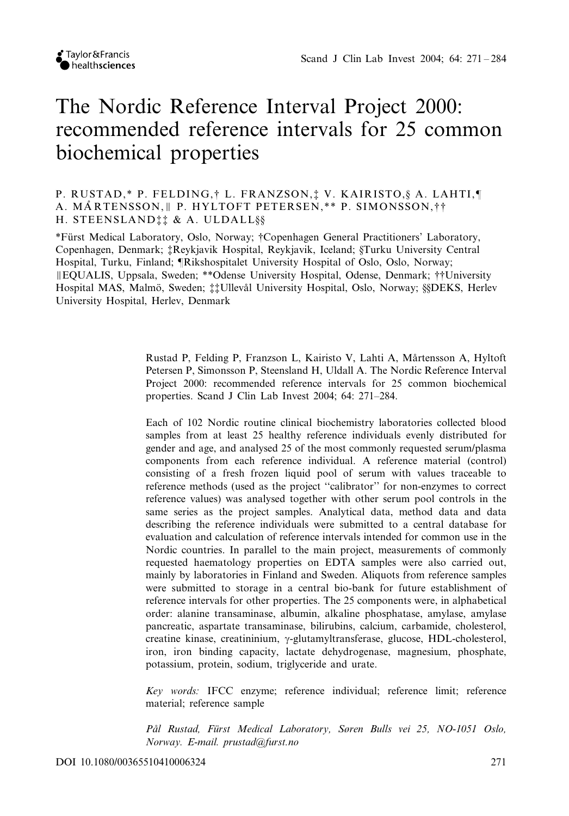# The Nordic Reference Interval Project 2000: recommended reference intervals for 25 common biochemical properties

# P. RUSTAD,\* P. FELDING,† L. FRANZSON,‡ V. KAIRISTO,§ A. LAHTI,¶ A. MÅRTENSSON, P. HYLTOFT PETERSEN,\*\* P. SIMONSSON, †† H. STEENSLAND<sup>\*</sup> & A. ULDALL§§

\*Fu¨rst Medical Laboratory, Oslo, Norway; {Copenhagen General Practitioners' Laboratory, Copenhagen, Denmark; {Reykjavik Hospital, Reykjavik, Iceland; §Turku University Central Hospital, Turku, Finland; *[Rikshospitalet University Hospital of Oslo, Oslo, Norway;* IEQUALIS, Uppsala, Sweden; \*\*Odense University Hospital, Odense, Denmark; {{University Hospital MAS, Malmö, Sweden; *††Ullevål University Hospital, Oslo, Norway; §§DEKS*, Herlev University Hospital, Herlev, Denmark

> Rustad P, Felding P, Franzson L, Kairisto V, Lahti A, Mårtensson A, Hyltoft Petersen P, Simonsson P, Steensland H, Uldall A. The Nordic Reference Interval Project 2000: recommended reference intervals for 25 common biochemical properties. Scand J Clin Lab Invest 2004; 64: 271–284.

> Each of 102 Nordic routine clinical biochemistry laboratories collected blood samples from at least 25 healthy reference individuals evenly distributed for gender and age, and analysed 25 of the most commonly requested serum/plasma components from each reference individual. A reference material (control) consisting of a fresh frozen liquid pool of serum with values traceable to reference methods (used as the project ''calibrator'' for non-enzymes to correct reference values) was analysed together with other serum pool controls in the same series as the project samples. Analytical data, method data and data describing the reference individuals were submitted to a central database for evaluation and calculation of reference intervals intended for common use in the Nordic countries. In parallel to the main project, measurements of commonly requested haematology properties on EDTA samples were also carried out, mainly by laboratories in Finland and Sweden. Aliquots from reference samples were submitted to storage in a central bio-bank for future establishment of reference intervals for other properties. The 25 components were, in alphabetical order: alanine transaminase, albumin, alkaline phosphatase, amylase, amylase pancreatic, aspartate transaminase, bilirubins, calcium, carbamide, cholesterol, creatine kinase, creatininium,  $\gamma$ -glutamyltransferase, glucose, HDL-cholesterol, iron, iron binding capacity, lactate dehydrogenase, magnesium, phosphate, potassium, protein, sodium, triglyceride and urate.

> Key words: IFCC enzyme; reference individual; reference limit; reference material; reference sample

> Pål Rustad, Fürst Medical Laboratory, Søren Bulls vei 25, NO-1051 Oslo, Norway. E-mail. prustad@furst.no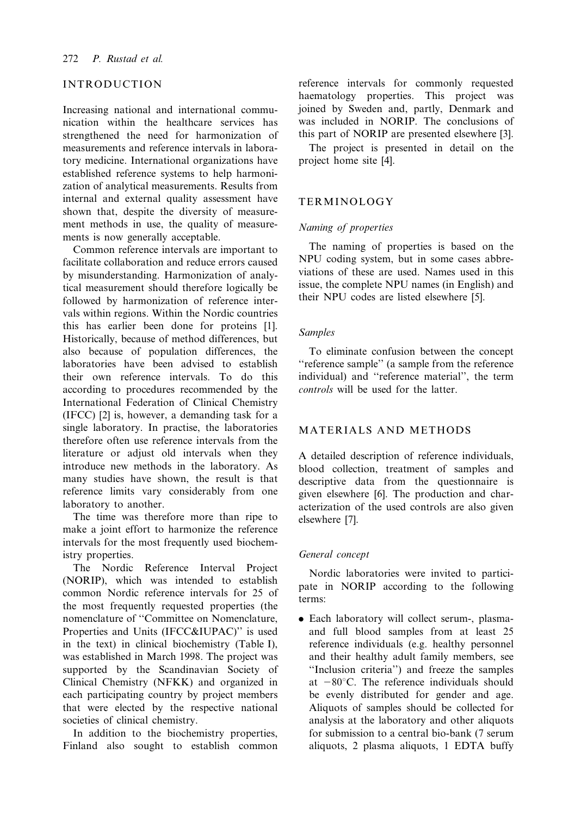# INTRODUCTION

Increasing national and international communication within the healthcare services has strengthened the need for harmonization of measurements and reference intervals in laboratory medicine. International organizations have established reference systems to help harmonization of analytical measurements. Results from internal and external quality assessment have shown that, despite the diversity of measurement methods in use, the quality of measurements is now generally acceptable.

Common reference intervals are important to facilitate collaboration and reduce errors caused by misunderstanding. Harmonization of analytical measurement should therefore logically be followed by harmonization of reference intervals within regions. Within the Nordic countries this has earlier been done for proteins [1]. Historically, because of method differences, but also because of population differences, the laboratories have been advised to establish their own reference intervals. To do this according to procedures recommended by the International Federation of Clinical Chemistry (IFCC) [2] is, however, a demanding task for a single laboratory. In practise, the laboratories therefore often use reference intervals from the literature or adjust old intervals when they introduce new methods in the laboratory. As many studies have shown, the result is that reference limits vary considerably from one laboratory to another.

The time was therefore more than ripe to make a joint effort to harmonize the reference intervals for the most frequently used biochemistry properties.

The Nordic Reference Interval Project (NORIP), which was intended to establish common Nordic reference intervals for 25 of the most frequently requested properties (the nomenclature of ''Committee on Nomenclature, Properties and Units (IFCC&IUPAC)'' is used in the text) in clinical biochemistry (Table I), was established in March 1998. The project was supported by the Scandinavian Society of Clinical Chemistry (NFKK) and organized in each participating country by project members that were elected by the respective national societies of clinical chemistry.

In addition to the biochemistry properties, Finland also sought to establish common

reference intervals for commonly requested haematology properties. This project was joined by Sweden and, partly, Denmark and was included in NORIP. The conclusions of this part of NORIP are presented elsewhere [3].

The project is presented in detail on the project home site [4].

## **TERMINOLOGY**

#### Naming of properties

The naming of properties is based on the NPU coding system, but in some cases abbreviations of these are used. Names used in this issue, the complete NPU names (in English) and their NPU codes are listed elsewhere [5].

#### Samples

To eliminate confusion between the concept ''reference sample'' (a sample from the reference individual) and ''reference material'', the term controls will be used for the latter.

## MATERIALS AND METHODS

A detailed description of reference individuals, blood collection, treatment of samples and descriptive data from the questionnaire is given elsewhere [6]. The production and characterization of the used controls are also given elsewhere [7].

#### General concept

Nordic laboratories were invited to participate in NORIP according to the following terms:

. Each laboratory will collect serum-, plasmaand full blood samples from at least 25 reference individuals (e.g. healthy personnel and their healthy adult family members, see ''Inclusion criteria'') and freeze the samples at  $-80^{\circ}$ C. The reference individuals should be evenly distributed for gender and age. Aliquots of samples should be collected for analysis at the laboratory and other aliquots for submission to a central bio-bank (7 serum aliquots, 2 plasma aliquots, 1 EDTA buffy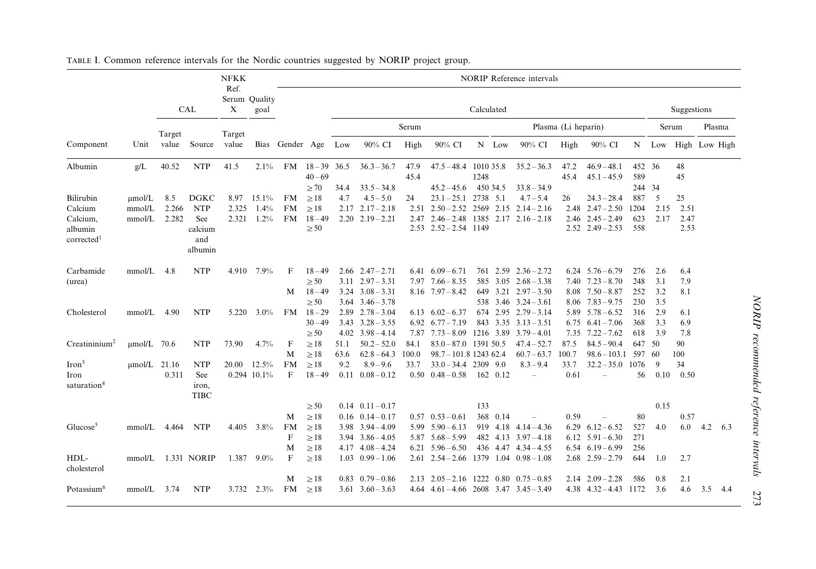|                                                      |                       |                 |                                    | <b>NFKK</b>                |                      |                        |                                                  |              |                                                                                                      |               |                                                                                                |            |          | NORIP Reference intervals                                                                                |                     |                                                                                              |                          |                          |                   |     |        |
|------------------------------------------------------|-----------------------|-----------------|------------------------------------|----------------------------|----------------------|------------------------|--------------------------------------------------|--------------|------------------------------------------------------------------------------------------------------|---------------|------------------------------------------------------------------------------------------------|------------|----------|----------------------------------------------------------------------------------------------------------|---------------------|----------------------------------------------------------------------------------------------|--------------------------|--------------------------|-------------------|-----|--------|
|                                                      |                       |                 | CAL                                | Ref.<br>Serum Quality<br>X | goal                 |                        |                                                  |              |                                                                                                      |               |                                                                                                | Calculated |          |                                                                                                          |                     |                                                                                              |                          |                          | Suggestions       |     |        |
|                                                      |                       |                 |                                    |                            |                      |                        |                                                  |              |                                                                                                      | Serum         |                                                                                                |            |          |                                                                                                          | Plasma (Li heparin) |                                                                                              |                          | Serum                    |                   |     | Plasma |
| Component                                            | Unit                  | Target<br>value | Source                             | Target<br>value            |                      | Bias Gender Age        |                                                  | Low          | 90% CI                                                                                               | High          | 90% CI                                                                                         |            | N Low    | 90% CI                                                                                                   | High                | 90% CI                                                                                       | N                        |                          | Low High Low High |     |        |
| Albumin                                              | g/L                   | 40.52           | <b>NTP</b>                         | 41.5                       | $2.1\%$              | FM                     | $18 - 39$ 36.5<br>$40 - 69$                      |              | $36.3 - 36.7$                                                                                        | 47.9<br>45.4  | $47.5 - 48.4$ 1010 35.8                                                                        | 1248       |          | $35.2 - 36.3$                                                                                            | 47.2<br>45.4        | $46.9 - 48.1$<br>$45.1 - 45.9$                                                               | 452 36<br>589            |                          | 48<br>45          |     |        |
| Bilirubin<br>Calcium                                 | $\mu$ mol/L<br>mmol/L | 8.5<br>2.266    | <b>DGKC</b><br><b>NTP</b>          | 8.97<br>2.325              | 15.1%<br>1.4%        | <b>FM</b><br><b>FM</b> | $\geq 70$<br>$\geq$ 18<br>$\geq$ 18              | 34.4<br>4.7  | $33.5 - 34.8$<br>$4.5 - 5.0$<br>$2.17$ $2.17 - 2.18$                                                 | 24<br>2.51    | $45.2 - 45.6$<br>$23.1 - 25.1$ $2738$ 5.1<br>$2.50 - 2.52$ $2569$ $2.15$ $2.14 - 2.16$         |            | 450 34.5 | $33.8 - 34.9$<br>$4.7 - 5.4$                                                                             | 26<br>2.48          | $24.3 - 28.4$<br>$2.47 - 2.50$                                                               | 244 34<br>887<br>1204    | 5<br>2.15                | 25<br>2.51        |     |        |
| Calcium.<br>albumin<br>corrected                     | mmol/L                | 2.282           | See<br>calcium<br>and<br>albumin   | 2.321                      | 1.2%                 | <b>FM</b>              | $18 - 49$<br>$\geq 50$                           |              | $2.20 \quad 2.19 - 2.21$                                                                             | 2.47          | $2.46 - 2.48$<br>$2.53$ $2.52 - 2.54$ 1149                                                     |            |          | $1385$ 2.17 2.16 - 2.18                                                                                  |                     | $2.46$ $2.45 - 2.49$<br>$2.52 \quad 2.49 - 2.53$                                             | 623<br>558               | 2.17                     | 2.47<br>2.53      |     |        |
| Carbamide<br>(urea)                                  | mmol/L                | 4.8             | NTP                                | 4.910                      | 7.9%                 | F<br>M                 | $18 - 49$<br>$\geq 50$<br>$18 - 49$<br>$\geq 50$ |              | $2.66$ $2.47 - 2.71$<br>$3.11 \quad 2.97 - 3.31$<br>$3.24$ $3.08 - 3.31$<br>$3.64$ $3.46 - 3.78$     | 6.41<br>7.97  | $6.09 - 6.71$<br>$7.66 - 8.35$<br>$8.16$ $7.97 - 8.42$                                         |            |          | 761 2.59 2.36 - 2.72<br>$585$ $3.05$ $2.68 - 3.38$<br>649 3.21 2.97 - 3.50<br>$538$ $3.46$ $3.24 - 3.61$ |                     | $6.24$ $5.76 - 6.79$<br>$7.40$ $7.23 - 8.70$<br>$8.08$ $7.50 - 8.87$<br>$8.06$ $7.83 - 9.75$ | 276<br>248<br>252<br>230 | 2.6<br>3.1<br>3.2<br>3.5 | 6.4<br>7.9<br>8.1 |     |        |
| Cholesterol                                          | mmol/L                | 4.90            | <b>NTP</b>                         | 5.220                      | $3.0\%$              | FM                     | $18 - 29$<br>$30 - 49$<br>$\geq 50$              |              | $2.89$ $2.78 - 3.04$<br>$3.43 \quad 3.28 - 3.55$<br>$4.02 \quad 3.98 - 4.14$                         | 6.92          | $6.13 \quad 6.02 - 6.37$<br>$6.77 - 7.19$<br>7.87 7.73 - 8.09 1216 3.89 3.79 - 4.01            |            |          | $674$ 2.95 2.79 - 3.14<br>$843$ $3.35$ $3.13 - 3.51$                                                     |                     | $5.89$ $5.78 - 6.52$<br>$6.75 \quad 6.41 - 7.06$<br>$7.35$ $7.22 - 7.62$                     | 316<br>368<br>618        | 2.9<br>3.3<br>3.9        | 6.1<br>6.9<br>7.8 |     |        |
| $C$ reatininium <sup>2</sup>                         | $\mu$ mol/L 70.6      |                 | NTP                                | 73.90                      | 4.7%                 | F<br>M                 | $\geq$ 18<br>$\geq\!18$                          | 51.1<br>63.6 | $50.2 - 52.0$<br>$62.8 - 64.3$                                                                       | 84.1<br>100.0 | $83.0 - 87.0$ 1391 50.5<br>$98.7 - 101.8$ 1243 62.4                                            |            |          | $47.4 - 52.7$<br>$60.7 - 63.7$                                                                           | 87.5<br>100.7       | $84.5 - 90.4$<br>$98.6 - 103.1$                                                              | 647 50<br>597            | -60                      | 90<br>100         |     |        |
| Iron <sup>3</sup><br>Iron<br>saturation <sup>4</sup> | $\mu$ mol/L 21.16     | 0.311           | NTP<br>See<br>iron,<br><b>TIBC</b> | 20.00                      | 12.5%<br>0.294 10.1% | <b>FM</b><br>F         | $\geq$ 18<br>$18 - 49$                           | 9.2<br>0.11  | $8.9 - 9.6$<br>$0.08 - 0.12$                                                                         | 33.7          | $33.0 - 34.4$<br>$0.50 \quad 0.48 - 0.58$                                                      | 2309 9.0   | 162 0.12 | $8.3 - 9.4$<br>$\overline{\phantom{a}}$                                                                  | 33.7<br>0.61        | $32.2 - 35.0$<br>$\overline{\phantom{m}}$                                                    | 1076<br>56               | 9<br>0.10                | 34<br>0.50        |     |        |
| Glucose <sup>5</sup>                                 | mmol/L                | 4.464           | <b>NTP</b>                         | 4.405                      | 3.8%                 | M<br><b>FM</b><br>F    | $\geq 50$<br>$\geq$ 18<br>$\geq$ 18<br>$\geq$ 18 |              | $0.14 \quad 0.11 - 0.17$<br>$0.16 \quad 0.14 - 0.17$<br>$3.98$ $3.94 - 4.09$<br>$3.94$ $3.86 - 4.05$ | 0.57<br>5.99  | $0.53 - 0.61$<br>$5.90 - 6.13$<br>$5.87$ $5.68 - 5.99$                                         | 133        | 368 0.14 | 919 4.18 4.14 - 4.36<br>482 4.13 3.97 - 4.18                                                             | 0.59<br>6.29        | ÷<br>$6.12 - 6.52$<br>$6.12 \quad 5.91 - 6.30$                                               | 80<br>527<br>271         | 0.15<br>4.0              | 0.57<br>6.0       | 4.2 | 6.3    |
| HDL-<br>cholesterol                                  | mmol/L                |                 | 1.331 NORIP                        | 1.387                      | $9.0\%$              | M<br>F                 | $\geq\!18$<br>$\geq$ 18                          |              | $4.17$ $4.08 - 4.24$<br>$1.03 \quad 0.99 - 1.06$                                                     | 6.21<br>2.61  | $5.96 - 6.50$<br>$2.54 - 2.66$                                                                 |            |          | 436 4.47 4.34 - 4.55<br>$1379$ 1.04 0.98 - 1.08                                                          |                     | $6.54 \quad 6.19 - 6.99$<br>$2.68$ $2.59 - 2.79$                                             | 256<br>644               | 1.0                      | 2.7               |     |        |
| Potassium <sup>6</sup>                               | $mmol/L$ 3.74         |                 | <b>NTP</b>                         | 3.732                      | 2.3%                 | M<br>FM                | $\geq$ 18<br>$\geq$ 18                           |              | $0.83 \quad 0.79 - 0.86$<br>$3.61 \quad 3.60 - 3.63$                                                 |               | $2.13$ $2.05 - 2.16$ 1222 0.80 0.75 - 0.85<br>$4.64$ $4.61 - 4.66$ $2608$ $3.47$ $3.45 - 3.49$ |            |          |                                                                                                          |                     | $2.14$ $2.09 - 2.28$<br>$4.38$ $4.32 - 4.43$ 1172                                            | 586                      | 0.8<br>3.6               | 2.1<br>4.6        | 3.5 | 4.4    |

TABLE I. Common reference intervals for the Nordic countries suggested by NORIP project group.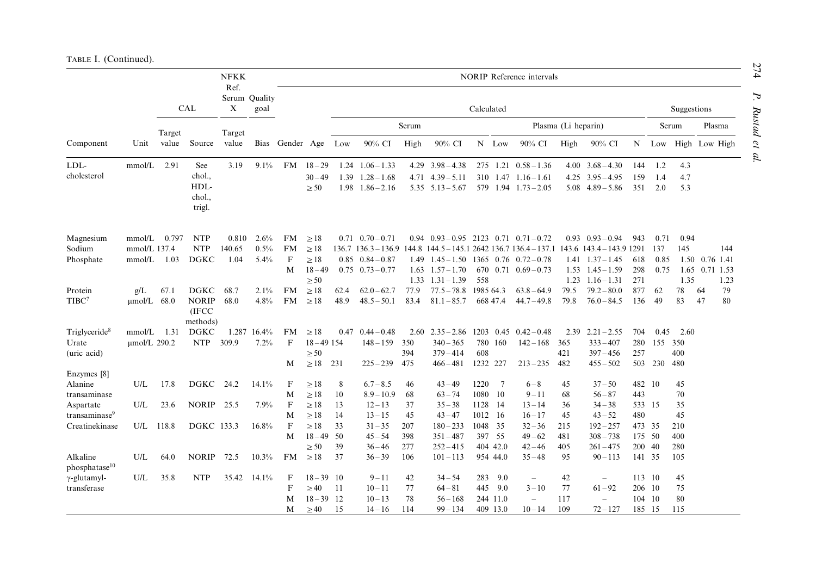|                                       |              |                 |                          | <b>NFKK</b>                |             | <b>NORIP</b> Reference intervals |                        |      |                          |       |                                                  |                  |          |                                              |                     |                                |            |         |                   |                |            |
|---------------------------------------|--------------|-----------------|--------------------------|----------------------------|-------------|----------------------------------|------------------------|------|--------------------------|-------|--------------------------------------------------|------------------|----------|----------------------------------------------|---------------------|--------------------------------|------------|---------|-------------------|----------------|------------|
|                                       |              |                 | CAL                      | Ref.<br>Serum Quality<br>X | goal        |                                  |                        |      |                          |       |                                                  | Calculated       |          |                                              |                     |                                |            |         | Suggestions       |                |            |
|                                       |              |                 |                          |                            |             |                                  |                        |      |                          | Serum |                                                  |                  |          |                                              | Plasma (Li heparin) |                                |            |         | Serum             | Plasma         |            |
| Component                             | Unit         | Target<br>value | Source                   | Target<br>value            |             | Bias Gender Age                  |                        | Low  | 90% CI                   | High  | 90% CI                                           |                  | N Low    | 90% CI                                       | High                | 90% CI                         | N          |         | Low High Low High |                |            |
| LDL-                                  | mmol/L       | 2.91            | See                      | 3.19                       | 9.1%        | FM                               | $18 - 29$              |      | $1.24$ $1.06 - 1.33$     |       | $4.29$ $3.98 - 4.38$                             |                  |          | $275$ 1.21 0.58 - 1.36                       |                     | $4.00 \quad 3.68 - 4.30$       | 144        | 1.2     | 4.3               |                |            |
| cholesterol                           |              |                 | chol.,                   |                            |             |                                  | $30 - 49$              | 1.39 | $1.28 - 1.68$            | 4.71  | $4.39 - 5.11$                                    |                  |          | $310$ 1.47 $1.16 - 1.61$                     |                     | $4.25$ $3.95 - 4.95$           | 159        | 1.4     | 4.7               |                |            |
|                                       |              |                 | HDL-<br>chol.,<br>trigl. |                            |             |                                  | $\geq 50$              | 1.98 | $1.86 - 2.16$            |       | $5.35 \quad 5.13 - 5.67$                         |                  |          | $579$ 1.94 $1.73 - 2.05$                     |                     | $5.08$ 4.89 - 5.86             | 351        | 2.0     | 5.3               |                |            |
| Magnesium                             | mmol/L       | 0.797           | <b>NTP</b>               | 0.810                      | 2.6%        | <b>FM</b>                        | $\geq$ 18              |      | $0.71 \quad 0.70 - 0.71$ |       | $0.94$ $0.93 - 0.95$ 2123 $0.71$ $0.71 - 0.72$   |                  |          |                                              |                     | $0.93 \quad 0.93 - 0.94$       | 943        | 0.71    | 0.94              |                |            |
| Sodium                                | mmol/L 137.4 |                 | <b>NTP</b>               | 140.65                     | 0.5%        | FM                               | $\geq$ 18              |      | $136.7$ $136.3 - 136.9$  |       |                                                  |                  |          | 144.8 144.5 - 145.1 2642 136.7 136.4 - 137.1 |                     | 143.6 143.4 - 143.9 1291       |            | 137     | 145               |                | 144        |
| Phosphate                             | mmol/L       | 1.03            | DGKC                     | 1.04                       | 5.4%        | F                                | $\geq$ 18              |      | $0.85$ $0.84 - 0.87$     |       | $1.49$ $1.45 - 1.50$ $1365$ $0.76$ $0.72 - 0.78$ |                  |          |                                              |                     | $1.41 \quad 1.37 - 1.45$       | 618        | 0.85    |                   | 1.50 0.76 1.41 |            |
|                                       |              |                 |                          |                            |             | M                                | $18 - 49$              |      | $0.75 \quad 0.73 - 0.77$ | 1.63  | $1.57 - 1.70$                                    |                  |          | $670$ 0.71 0.69 $-0.73$                      |                     | $1.53$ $1.45 - 1.59$           | 298        | 0.75    | 1.65              | 0.71 1.53      |            |
| Protein                               | g/L          | 67.1            | <b>DGKC</b>              | 68.7                       | 2.1%        | <b>FM</b>                        | $\geq 50$<br>$\geq 18$ | 62.4 | $62.0 - 62.7$            | 77.9  | $1.33 \quad 1.31 - 1.39$<br>$77.5 - 78.8$        | 558<br>1985 64.3 |          | $63.8 - 64.9$                                | 1.23<br>79.5        | $1.16 - 1.31$<br>$79.2 - 80.0$ | 271<br>877 | 62      | 1.35<br>78        | 64             | 1.23<br>79 |
| TIBC <sup>7</sup>                     | $\mu$ mol/L  | 68.0            | <b>NORIP</b>             | 68.0                       | 4.8%        | FM                               | $\geq$ 18              | 48.9 | $48.5 - 50.1$            | 83.4  | $81.1 - 85.7$                                    |                  | 668 47.4 | $44.7 - 49.8$                                | 79.8                | $76.0 - 84.5$                  | 136        | 49      | 83                | 47             | 80         |
|                                       |              |                 | (IFCC<br>methods)        |                            |             |                                  |                        |      |                          |       |                                                  |                  |          |                                              |                     |                                |            |         |                   |                |            |
| Triglyceride <sup>8</sup>             | mmol/L       | 1.31            | <b>DGKC</b>              |                            | 1.287 16.4% | <b>FM</b>                        | $\geq$ 18              |      | $0.47 \quad 0.44 - 0.48$ |       | $2.60 \quad 2.35 - 2.86$                         |                  |          | $1203$ 0.45 0.42 - 0.48                      | 2.39                | $2.21 - 2.55$                  | 704        | 0.45    | 2.60              |                |            |
| Urate                                 | µmol/L 290.2 |                 | <b>NTP</b>               | 309.9                      | 7.2%        | F                                | $18 - 49$ 154          |      | $148 - 159$              | 350   | $340 - 365$                                      |                  | 780 160  | $142 - 168$                                  | 365                 | $333 - 407$                    | 280        | 155 350 |                   |                |            |
| (uric acid)                           |              |                 |                          |                            |             |                                  | $\geq 50$              |      |                          | 394   | $379 - 414$                                      | 608              |          |                                              | 421                 | $397 - 456$                    | 257        |         | 400               |                |            |
|                                       |              |                 |                          |                            |             | М                                | $\geq$ 18              | 231  | $225 - 239$              | 475   | $466 - 481$                                      | 1232 227         |          | $213 - 235$                                  | 482                 | $455 - 502$                    | 503        | 230 480 |                   |                |            |
| Enzymes [8]<br>Alanine                | U/L          | 17.8            | <b>DGKC</b>              | 24.2                       | 14.1%       | F                                | $\geq$ 18              | 8    | $6.7 - 8.5$              | 46    | $43 - 49$                                        | 1220             | 7        | $6 - 8$                                      | 45                  | $37 - 50$                      | 482        | 10      | 45                |                |            |
| transaminase                          |              |                 |                          |                            |             | M                                | $\geq$ 18              | 10   | $8.9 - 10.9$             | 68    | $63 - 74$                                        | 1080             | 10       | $9 - 11$                                     | 68                  | $56 - 87$                      | 443        |         | 70                |                |            |
| Aspartate                             | U/L          | 23.6            | <b>NORIP</b> 25.5        |                            | 7.9%        | F                                | $\geq$ 18              | 13   | $12 - 13$                | 37    | $35 - 38$                                        | 1128             | -14      | $13 - 14$                                    | 36                  | $34 - 38$                      | 533 15     |         | 35                |                |            |
| transaminase <sup>9</sup>             |              |                 |                          |                            |             | M                                | $\geq$ 18              | 14   | $13 - 15$                | 45    | $43 - 47$                                        | 1012             | -16      | $16 - 17$                                    | 45                  | $43 - 52$                      | 480        |         | 45                |                |            |
| Creatinekinase                        | U/L          | 118.8           | DGKC 133.3               |                            | 16.8%       | F                                | $\geq$ 18              | 33   | $31 - 35$                | 207   | $180 - 233$                                      | 1048             | -35      | $32 - 36$                                    | 215                 | $192 - 257$                    | 473        | 35      | 210               |                |            |
|                                       |              |                 |                          |                            |             | M                                | $18 - 49$              | 50   | $45 - 54$                | 398   | $351 - 487$                                      | 397 55           |          | $49 - 62$                                    | 481                 | $308 - 738$                    | 175        | 50      | 400               |                |            |
|                                       |              |                 |                          |                            |             |                                  | $\geq 50$              | 39   | $36 - 46$                | 277   | $252 - 415$                                      |                  | 404 42.0 | $42 - 46$                                    | 405                 | $261 - 475$                    | 200        | 40      | 280               |                |            |
| Alkaline<br>phosphatase <sup>10</sup> | U/L          | 64.0            | <b>NORIP</b>             | 72.5                       | 10.3%       | <b>FM</b>                        | $\geq$ 18              | 37   | $36 - 39$                | 106   | $101 - 113$                                      |                  | 954 44.0 | $35 - 48$                                    | 95                  | $90 - 113$                     | 141 35     |         | 105               |                |            |
| $\gamma$ -glutamyl-                   | U/L          | 35.8            | <b>NTP</b>               | 35.42                      | 14.1%       | F                                | $18 - 39$              | - 10 | $9 - 11$                 | 42    | $34 - 54$                                        | 283              | 9.0      | $\qquad \qquad -$                            | 42                  | $\overline{\phantom{a}}$       | 113        | 10      | 45                |                |            |
| transferase                           |              |                 |                          |                            |             | F                                | $\geq 40$              | -11  | $10 - 11$                | 77    | $64 - 81$                                        | 445              | 9.0      | $3 - 10$                                     | 77                  | $61 - 92$                      | 206        | -10     | 75                |                |            |
|                                       |              |                 |                          |                            |             | М                                | $18 - 39$              | -12  | $10 - 13$                | 78    | $56 - 168$                                       |                  | 244 11.0 | ÷                                            | 117                 | $\overline{\phantom{a}}$       | 104        | -10     | 80                |                |            |
|                                       |              |                 |                          |                            |             | М                                | $\geq 40$              | 15   | $14 - 16$                | 114   | $99 - 134$                                       |                  | 409 13.0 | $10 - 14$                                    | 109                 | $72 - 127$                     | 185 15     |         | 115               |                |            |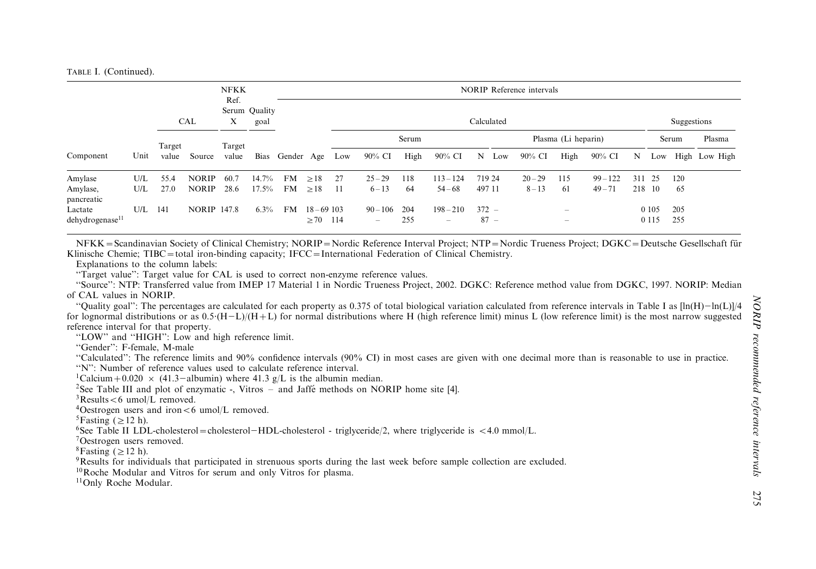TABLE I. (Continued).

| <b>NFKK</b><br>Ref.                    |            |              |                              |                    |                | <b>NORIP Reference intervals</b> |                      |          |                                        |            |                                         |                   |                       |                               |                         |            |                    |             |               |
|----------------------------------------|------------|--------------|------------------------------|--------------------|----------------|----------------------------------|----------------------|----------|----------------------------------------|------------|-----------------------------------------|-------------------|-----------------------|-------------------------------|-------------------------|------------|--------------------|-------------|---------------|
|                                        |            |              | CAL                          | Serum Quality<br>Х | goal           |                                  |                      |          |                                        |            |                                         | Calculated        |                       |                               |                         |            |                    | Suggestions |               |
|                                        |            | Target       |                              | Target             |                |                                  |                      |          |                                        | Serum      |                                         |                   |                       | Plasma (Li heparin)           |                         |            |                    | Serum       | Plasma        |
| Component                              | Unit       | value        | Source                       | value              |                | Bias Gender Age                  |                      | Low      | 90% CI                                 | High       | 90% CI                                  | N<br>Low          | 90% CI                | High                          | 90% CI                  | N          | Low                |             | High Low High |
| Amylase<br>Amylase,<br>pancreatic      | U/L<br>U/L | 55.4<br>27.0 | <b>NORIP</b><br><b>NORIP</b> | 60.7<br>28.6       | 14.7%<br>17.5% | FM<br><b>FM</b>                  | >18<br>$\geq$ 18     | 27<br>11 | $25 - 29$<br>$6 - 13$                  | 118<br>64  | $113 - 124$<br>$54 - 68$                | 719 24<br>497 11  | $20 - 29$<br>$8 - 13$ | 115<br>-61                    | $99 - 122$<br>$49 - 71$ | 311<br>218 | -25<br>- 10        | 120<br>65   |               |
| Lactate<br>dehydrogenase <sup>11</sup> | U/L        | 141          | <b>NORIP 147.8</b>           |                    | 6.3%           | FM                               | $18 - 69$ 103<br>>70 | 114      | $90 - 106$<br>$\overline{\phantom{a}}$ | 204<br>255 | $198 - 210$<br>$\overline{\phantom{a}}$ | $372 -$<br>$87 -$ |                       | -<br>$\overline{\phantom{m}}$ |                         |            | 0 1 0 5<br>0 1 1 5 | 205<br>255  |               |

NFKK = Scandinavian Society of Clinical Chemistry; NORIP = Nordic Reference Interval Project; NTP = Nordic Trueness Project; DGKC = Deutsche Gesellschaft für Klinische Chemie;  $TIBC = \text{total}$  iron-binding capacity;  $IFCC =$ International Federation of Clinical Chemistry.

Explanations to the column labels:

''Target value'': Target value for CAL is used to correct non-enzyme reference values.

''Source'': NTP: Transferred value from IMEP 17 Material 1 in Nordic Trueness Project, 2002. DGKC: Reference method value from DGKC, 1997. NORIP: Median of CAL values in NORIP.

"Ouality goal": The percentages are calculated for each property as 0.375 of total biological variation calculated from reference intervals in Table I as  $[\ln(H) - \ln(L)]/4$ for lognormal distributions or as  $0.5$  (H-L)/(H+L) for normal distributions where H (high reference limit) minus L (low reference limit) is the most narrow suggested reference interval for that property.

''LOW'' and ''HIGH'': Low and high reference limit.

''Gender'': F-female, M-male

''Calculated'': The reference limits and 90% confidence intervals (90% CI) in most cases are given with one decimal more than is reasonable to use in practice. ''N'': Number of reference values used to calculate reference interval.

 $1$ Calcium + 0.020  $\times$  (41.3-albumin) where 41.3 g/L is the albumin median.

<sup>2</sup>See Table III and plot of enzymatic -, Vitros  $-\overline{a}$  and Jaffe´ methods on NORIP home site [4].

 $3$ Results < 6 umol/L removed.

 $4$ Oestrogen users and iron $< 6$  umol/L removed.

 $5F$ asting ( $>12$  h).

<sup>6</sup>See Table II LDL-cholesterol = cholesterol - HDL-cholesterol - triglyceride/2, where triglyceride is <4.0 mmol/L.

<sup>7</sup>Oestrogen users removed.

 ${}^{8}$ Fasting ( $>12$  h).

<sup>9</sup>Results for individuals that participated in strenuous sports during the last week before sample collection are excluded.

<sup>10</sup>Roche Modular and Vitros for serum and only Vitros for <sup>p</sup>lasma.

<sup>11</sup>Only Roche Modular.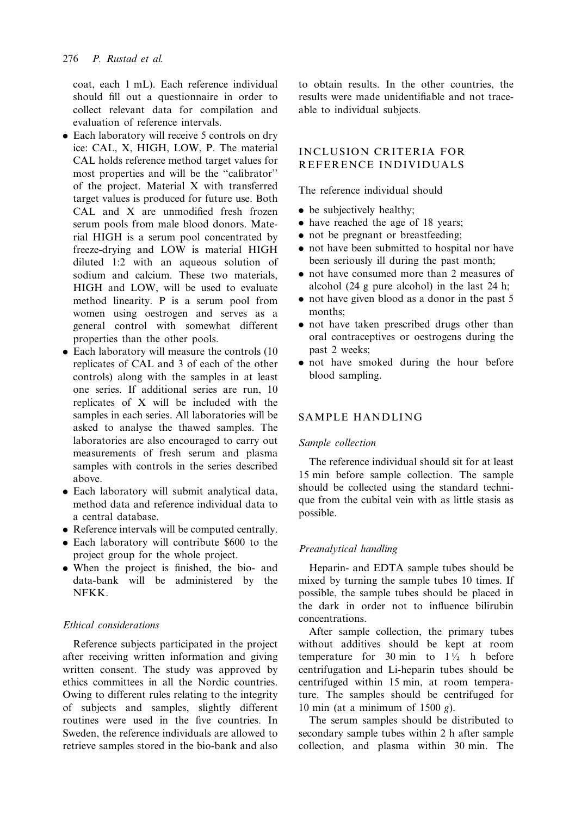coat, each 1 mL). Each reference individual should fill out a questionnaire in order to collect relevant data for compilation and evaluation of reference intervals.

- . Each laboratory will receive 5 controls on dry ice: CAL, X, HIGH, LOW, P. The material CAL holds reference method target values for most properties and will be the ''calibrator'' of the project. Material X with transferred target values is produced for future use. Both CAL and X are unmodified fresh frozen serum pools from male blood donors. Material HIGH is a serum pool concentrated by freeze-drying and LOW is material HIGH diluted 1:2 with an aqueous solution of sodium and calcium. These two materials, HIGH and LOW, will be used to evaluate method linearity. P is a serum pool from women using oestrogen and serves as a general control with somewhat different properties than the other pools.
- . Each laboratory will measure the controls (10 replicates of CAL and 3 of each of the other controls) along with the samples in at least one series. If additional series are run, 10 replicates of X will be included with the samples in each series. All laboratories will be asked to analyse the thawed samples. The laboratories are also encouraged to carry out measurements of fresh serum and plasma samples with controls in the series described above.
- . Each laboratory will submit analytical data, method data and reference individual data to a central database.
- . Reference intervals will be computed centrally.
- . Each laboratory will contribute \$600 to the project group for the whole project.
- . When the project is finished, the bio- and data-bank will be administered by the NFKK.

## Ethical considerations

Reference subjects participated in the project after receiving written information and giving written consent. The study was approved by ethics committees in all the Nordic countries. Owing to different rules relating to the integrity of subjects and samples, slightly different routines were used in the five countries. In Sweden, the reference individuals are allowed to retrieve samples stored in the bio-bank and also to obtain results. In the other countries, the results were made unidentifiable and not traceable to individual subjects.

# INCLUSION CRITERIA FOR REFERENCE INDIVIDUALS

The reference individual should

- be subjectively healthy;
- have reached the age of 18 years;
- . not be pregnant or breastfeeding;
- . not have been submitted to hospital nor have been seriously ill during the past month;
- . not have consumed more than 2 measures of alcohol (24 g pure alcohol) in the last 24 h;
- . not have given blood as a donor in the past 5 months;
- . not have taken prescribed drugs other than oral contraceptives or oestrogens during the past 2 weeks;
- . not have smoked during the hour before blood sampling.

## SAMPLE HANDLING

#### Sample collection

The reference individual should sit for at least 15 min before sample collection. The sample should be collected using the standard technique from the cubital vein with as little stasis as possible.

## Preanalytical handling

Heparin- and EDTA sample tubes should be mixed by turning the sample tubes 10 times. If possible, the sample tubes should be placed in the dark in order not to influence bilirubin concentrations.

After sample collection, the primary tubes without additives should be kept at room temperature for 30 min to  $1\frac{1}{2}$  h before centrifugation and Li-heparin tubes should be centrifuged within 15 min, at room temperature. The samples should be centrifuged for 10 min (at a minimum of 1500 g).

The serum samples should be distributed to secondary sample tubes within 2 h after sample collection, and plasma within 30 min. The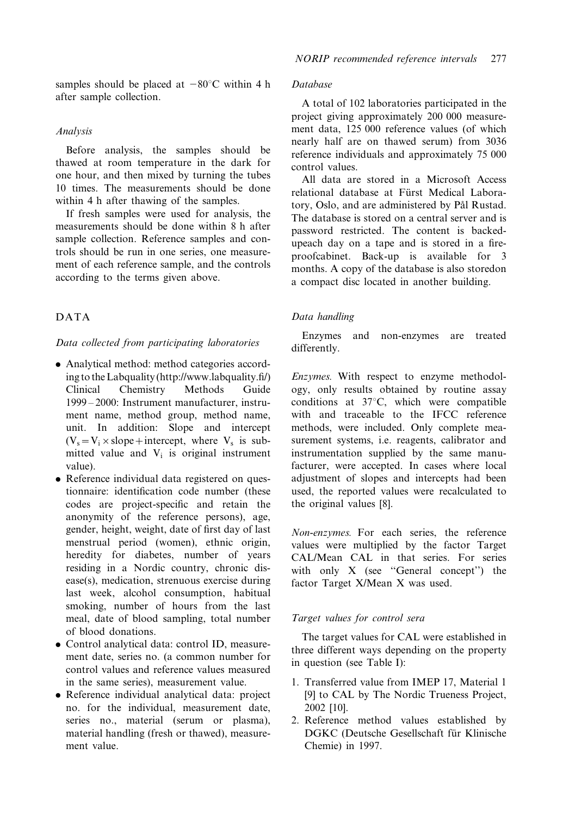samples should be placed at  $-80^{\circ}$ C within 4 h after sample collection.

#### Analysis

Before analysis, the samples should be thawed at room temperature in the dark for one hour, and then mixed by turning the tubes 10 times. The measurements should be done within 4 h after thawing of the samples.

If fresh samples were used for analysis, the measurements should be done within 8 h after sample collection. Reference samples and controls should be run in one series, one measurement of each reference sample, and the controls according to the terms given above.

# DATA

#### Data collected from participating laboratories

- . Analytical method: method categories according to the Labquality(http://www.labquality.fi/) Clinical Chemistry Methods Guide 1999 – 2000: Instrument manufacturer, instrument name, method group, method name, unit. In addition: Slope and intercept  $(V_s = V_i \times slope + intercept,$  where  $V_s$  is submitted value and  $V_i$  is original instrument value).
- . Reference individual data registered on questionnaire: identification code number (these codes are project-specific and retain the anonymity of the reference persons), age, gender, height, weight, date of first day of last menstrual period (women), ethnic origin, heredity for diabetes, number of years residing in a Nordic country, chronic disease(s), medication, strenuous exercise during last week, alcohol consumption, habitual smoking, number of hours from the last meal, date of blood sampling, total number of blood donations.
- . Control analytical data: control ID, measurement date, series no. (a common number for control values and reference values measured in the same series), measurement value.
- . Reference individual analytical data: project no. for the individual, measurement date, series no., material (serum or plasma), material handling (fresh or thawed), measurement value.

#### Database

A total of 102 laboratories participated in the project giving approximately 200 000 measurement data, 125 000 reference values (of which nearly half are on thawed serum) from 3036 reference individuals and approximately 75 000 control values.

All data are stored in a Microsoft Access relational database at Fürst Medical Laboratory, Oslo, and are administered by Pål Rustad. The database is stored on a central server and is password restricted. The content is backedupeach day on a tape and is stored in a fireproofcabinet. Back-up is available for 3 months. A copy of the database is also storedon a compact disc located in another building.

#### Data handling

Enzymes and non-enzymes are treated differently.

Enzymes. With respect to enzyme methodology, only results obtained by routine assay conditions at  $37^{\circ}$ C, which were compatible with and traceable to the IFCC reference methods, were included. Only complete measurement systems, i.e. reagents, calibrator and instrumentation supplied by the same manufacturer, were accepted. In cases where local adjustment of slopes and intercepts had been used, the reported values were recalculated to the original values [8].

Non-enzymes. For each series, the reference values were multiplied by the factor Target CAL/Mean CAL in that series. For series with only  $X$  (see "General concept") the factor Target X/Mean X was used.

#### Target values for control sera

The target values for CAL were established in three different ways depending on the property in question (see Table I):

- 1. Transferred value from IMEP 17, Material 1 [9] to CAL by The Nordic Trueness Project, 2002 [10].
- 2. Reference method values established by DGKC (Deutsche Gesellschaft für Klinische Chemie) in 1997.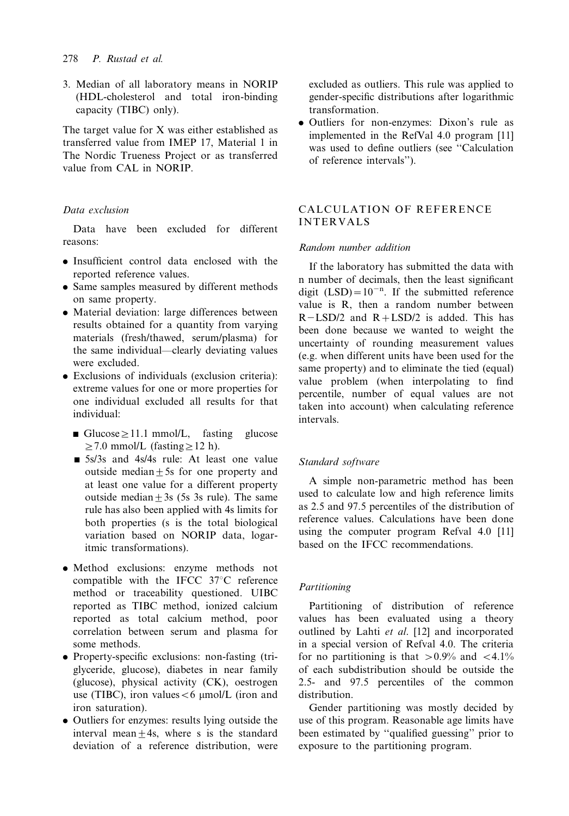### 278 P. Rustad et al.

3. Median of all laboratory means in NORIP (HDL-cholesterol and total iron-binding capacity (TIBC) only).

The target value for X was either established as transferred value from IMEP 17, Material 1 in The Nordic Trueness Project or as transferred value from CAL in NORIP.

#### Data exclusion

Data have been excluded for different reasons:

- . Insufficient control data enclosed with the reported reference values.
- . Same samples measured by different methods on same property.
- . Material deviation: large differences between results obtained for a quantity from varying materials (fresh/thawed, serum/plasma) for the same individual—clearly deviating values were excluded.
- . Exclusions of individuals (exclusion criteria): extreme values for one or more properties for one individual excluded all results for that individual:
	- $\blacksquare$  Glucose  $\geq$  11.1 mmol/L, fasting glucose  $\geq$ 7.0 mmol/L (fasting $\geq$ 12 h).
	- \_ 5s/3s and 4s/4s rule: At least one value outside median $+5s$  for one property and at least one value for a different property outside median $+3s$  (5s 3s rule). The same rule has also been applied with 4s limits for both properties (s is the total biological variation based on NORIP data, logaritmic transformations).
- . Method exclusions: enzyme methods not compatible with the IFCC  $37^{\circ}$ C reference method or traceability questioned. UIBC reported as TIBC method, ionized calcium reported as total calcium method, poor correlation between serum and plasma for some methods.
- . Property-specific exclusions: non-fasting (triglyceride, glucose), diabetes in near family (glucose), physical activity (CK), oestrogen use (TIBC), iron values  $<6 \mu$ mol/L (iron and iron saturation).
- . Outliers for enzymes: results lying outside the interval mean $+4s$ , where s is the standard deviation of a reference distribution, were

excluded as outliers. This rule was applied to gender-specific distributions after logarithmic transformation.

. Outliers for non-enzymes: Dixon's rule as implemented in the RefVal 4.0 program [11] was used to define outliers (see ''Calculation of reference intervals'').

# CALCULATION OF REFERENCE INTERVALS

## Random number addition

If the laboratory has submitted the data with n number of decimals, then the least significant digit  $(LSD) = 10^{-n}$ . If the submitted reference value is R, then a random number between  $R-LSD/2$  and  $R+LSD/2$  is added. This has been done because we wanted to weight the uncertainty of rounding measurement values (e.g. when different units have been used for the same property) and to eliminate the tied (equal) value problem (when interpolating to find percentile, number of equal values are not taken into account) when calculating reference intervals.

## Standard software

A simple non-parametric method has been used to calculate low and high reference limits as 2.5 and 97.5 percentiles of the distribution of reference values. Calculations have been done using the computer program Refval 4.0 [11] based on the IFCC recommendations.

## Partitioning

Partitioning of distribution of reference values has been evaluated using a theory outlined by Lahti et al. [12] and incorporated in a special version of Refval 4.0. The criteria for no partitioning is that  $> 0.9\%$  and  $< 4.1\%$ of each subdistribution should be outside the 2.5- and 97.5 percentiles of the common distribution.

Gender partitioning was mostly decided by use of this program. Reasonable age limits have been estimated by ''qualified guessing'' prior to exposure to the partitioning program.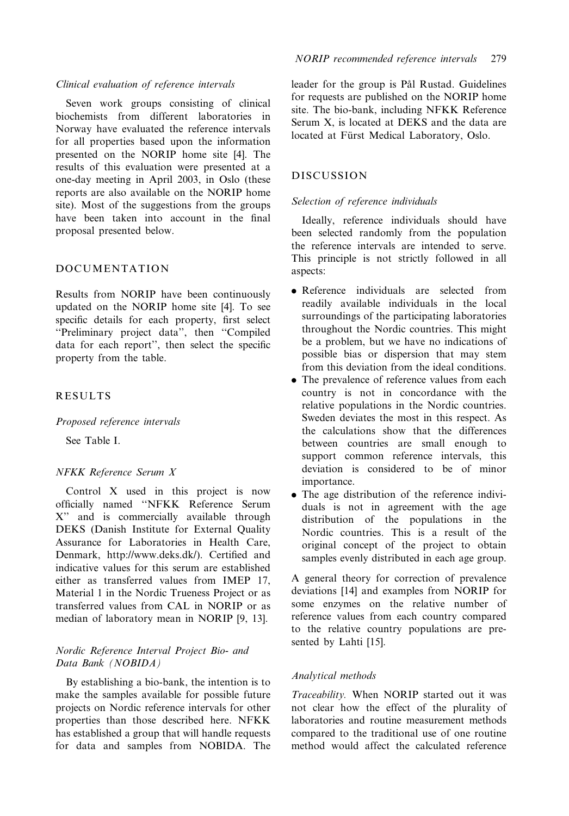#### Clinical evaluation of reference intervals

Seven work groups consisting of clinical biochemists from different laboratories in Norway have evaluated the reference intervals for all properties based upon the information presented on the NORIP home site [4]. The results of this evaluation were presented at a one-day meeting in April 2003, in Oslo (these reports are also available on the NORIP home site). Most of the suggestions from the groups have been taken into account in the final proposal presented below.

## DOCUMENTATION

Results from NORIP have been continuously updated on the NORIP home site [4]. To see specific details for each property, first select ''Preliminary project data'', then ''Compiled data for each report'', then select the specific property from the table.

# RESULTS

### Proposed reference intervals

See Table I.

#### NFKK Reference Serum X

Control X used in this project is now officially named ''NFKK Reference Serum X'' and is commercially available through DEKS (Danish Institute for External Quality Assurance for Laboratories in Health Care, Denmark, http://www.deks.dk/). Certified and indicative values for this serum are established either as transferred values from IMEP 17, Material 1 in the Nordic Trueness Project or as transferred values from CAL in NORIP or as median of laboratory mean in NORIP [9, 13].

# Nordic Reference Interval Project Bio- and Data Bank (NOBIDA)

By establishing a bio-bank, the intention is to make the samples available for possible future projects on Nordic reference intervals for other properties than those described here. NFKK has established a group that will handle requests for data and samples from NOBIDA. The leader for the group is Pål Rustad. Guidelines for requests are published on the NORIP home site. The bio-bank, including NFKK Reference Serum X, is located at DEKS and the data are located at Fürst Medical Laboratory, Oslo.

# DISCUSSION

#### Selection of reference individuals

Ideally, reference individuals should have been selected randomly from the population the reference intervals are intended to serve. This principle is not strictly followed in all aspects:

- . Reference individuals are selected from readily available individuals in the local surroundings of the participating laboratories throughout the Nordic countries. This might be a problem, but we have no indications of possible bias or dispersion that may stem from this deviation from the ideal conditions.
- The prevalence of reference values from each country is not in concordance with the relative populations in the Nordic countries. Sweden deviates the most in this respect. As the calculations show that the differences between countries are small enough to support common reference intervals, this deviation is considered to be of minor importance.
- . The age distribution of the reference individuals is not in agreement with the age distribution of the populations in the Nordic countries. This is a result of the original concept of the project to obtain samples evenly distributed in each age group.

A general theory for correction of prevalence deviations [14] and examples from NORIP for some enzymes on the relative number of reference values from each country compared to the relative country populations are presented by Lahti [15].

#### Analytical methods

Traceability. When NORIP started out it was not clear how the effect of the plurality of laboratories and routine measurement methods compared to the traditional use of one routine method would affect the calculated reference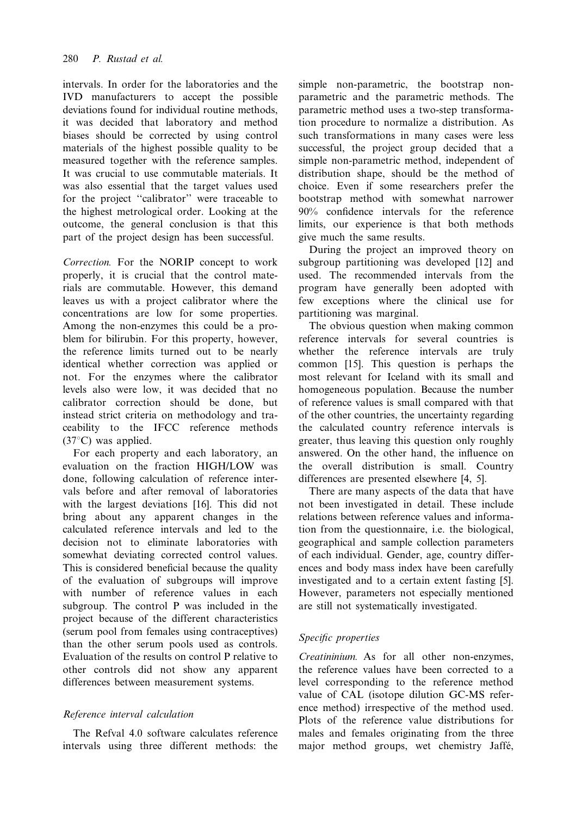intervals. In order for the laboratories and the IVD manufacturers to accept the possible deviations found for individual routine methods, it was decided that laboratory and method biases should be corrected by using control materials of the highest possible quality to be measured together with the reference samples. It was crucial to use commutable materials. It was also essential that the target values used for the project ''calibrator'' were traceable to the highest metrological order. Looking at the outcome, the general conclusion is that this part of the project design has been successful.

Correction. For the NORIP concept to work properly, it is crucial that the control materials are commutable. However, this demand leaves us with a project calibrator where the concentrations are low for some properties. Among the non-enzymes this could be a problem for bilirubin. For this property, however, the reference limits turned out to be nearly identical whether correction was applied or not. For the enzymes where the calibrator levels also were low, it was decided that no calibrator correction should be done, but instead strict criteria on methodology and traceability to the IFCC reference methods  $(37^{\circ}C)$  was applied.

For each property and each laboratory, an evaluation on the fraction HIGH/LOW was done, following calculation of reference intervals before and after removal of laboratories with the largest deviations [16]. This did not bring about any apparent changes in the calculated reference intervals and led to the decision not to eliminate laboratories with somewhat deviating corrected control values. This is considered beneficial because the quality of the evaluation of subgroups will improve with number of reference values in each subgroup. The control P was included in the project because of the different characteristics (serum pool from females using contraceptives) than the other serum pools used as controls. Evaluation of the results on control P relative to other controls did not show any apparent differences between measurement systems.

# Reference interval calculation

The Refval 4.0 software calculates reference intervals using three different methods: the simple non-parametric, the bootstrap nonparametric and the parametric methods. The parametric method uses a two-step transformation procedure to normalize a distribution. As such transformations in many cases were less successful, the project group decided that a simple non-parametric method, independent of distribution shape, should be the method of choice. Even if some researchers prefer the bootstrap method with somewhat narrower 90% confidence intervals for the reference limits, our experience is that both methods give much the same results.

During the project an improved theory on subgroup partitioning was developed [12] and used. The recommended intervals from the program have generally been adopted with few exceptions where the clinical use for partitioning was marginal.

The obvious question when making common reference intervals for several countries is whether the reference intervals are truly common [15]. This question is perhaps the most relevant for Iceland with its small and homogeneous population. Because the number of reference values is small compared with that of the other countries, the uncertainty regarding the calculated country reference intervals is greater, thus leaving this question only roughly answered. On the other hand, the influence on the overall distribution is small. Country differences are presented elsewhere [4, 5].

There are many aspects of the data that have not been investigated in detail. These include relations between reference values and information from the questionnaire, i.e. the biological, geographical and sample collection parameters of each individual. Gender, age, country differences and body mass index have been carefully investigated and to a certain extent fasting [5]. However, parameters not especially mentioned are still not systematically investigated.

# Specific properties

Creatininium. As for all other non-enzymes, the reference values have been corrected to a level corresponding to the reference method value of CAL (isotope dilution GC-MS reference method) irrespective of the method used. Plots of the reference value distributions for males and females originating from the three major method groups, wet chemistry Jaffé,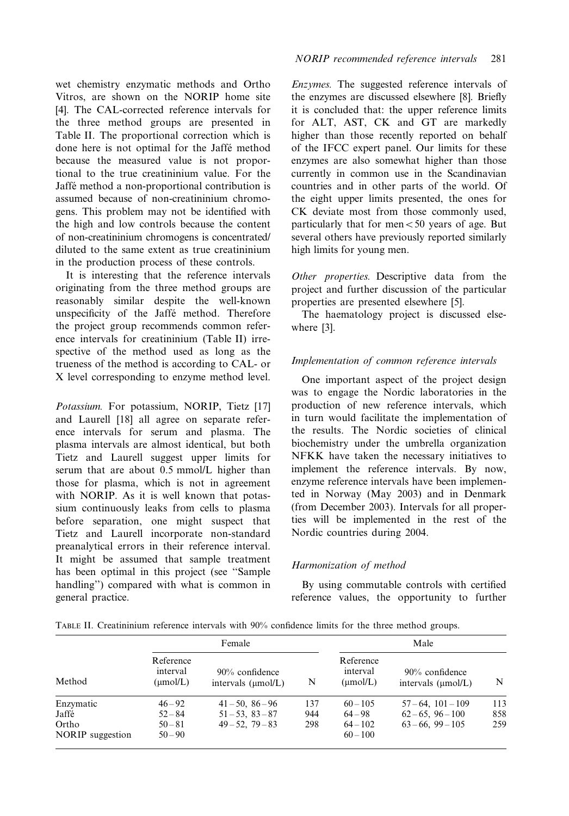wet chemistry enzymatic methods and Ortho Vitros, are shown on the NORIP home site [4]. The CAL-corrected reference intervals for the three method groups are presented in Table II. The proportional correction which is done here is not optimal for the Jaffe´ method because the measured value is not proportional to the true creatininium value. For the Jaffé method a non-proportional contribution is assumed because of non-creatininium chromogens. This problem may not be identified with the high and low controls because the content of non-creatininium chromogens is concentrated/ diluted to the same extent as true creatininium in the production process of these controls.

It is interesting that the reference intervals originating from the three method groups are reasonably similar despite the well-known unspecificity of the Jaffé method. Therefore the project group recommends common reference intervals for creatininium (Table II) irrespective of the method used as long as the trueness of the method is according to CAL- or X level corresponding to enzyme method level.

Potassium. For potassium, NORIP, Tietz [17] and Laurell [18] all agree on separate reference intervals for serum and plasma. The plasma intervals are almost identical, but both Tietz and Laurell suggest upper limits for serum that are about 0.5 mmol/L higher than those for plasma, which is not in agreement with NORIP. As it is well known that potassium continuously leaks from cells to plasma before separation, one might suspect that Tietz and Laurell incorporate non-standard preanalytical errors in their reference interval. It might be assumed that sample treatment has been optimal in this project (see ''Sample handling'') compared with what is common in general practice.

#### NORIP recommended reference intervals 281

Enzymes. The suggested reference intervals of the enzymes are discussed elsewhere [8]. Briefly it is concluded that: the upper reference limits for ALT, AST, CK and GT are markedly higher than those recently reported on behalf of the IFCC expert panel. Our limits for these enzymes are also somewhat higher than those currently in common use in the Scandinavian countries and in other parts of the world. Of the eight upper limits presented, the ones for CK deviate most from those commonly used, particularly that for men $<$  50 years of age. But several others have previously reported similarly high limits for young men.

Other properties. Descriptive data from the project and further discussion of the particular properties are presented elsewhere [5].

The haematology project is discussed elsewhere [3].

#### Implementation of common reference intervals

One important aspect of the project design was to engage the Nordic laboratories in the production of new reference intervals, which in turn would facilitate the implementation of the results. The Nordic societies of clinical biochemistry under the umbrella organization NFKK have taken the necessary initiatives to implement the reference intervals. By now, enzyme reference intervals have been implemented in Norway (May 2003) and in Denmark (from December 2003). Intervals for all properties will be implemented in the rest of the Nordic countries during 2004.

## Harmonization of method

By using commutable controls with certified reference values, the opportunity to further

| TABLE II. Creatininium reference intervals with 90% confidence limits for the three method groups. |  |
|----------------------------------------------------------------------------------------------------|--|
|----------------------------------------------------------------------------------------------------|--|

|                  |                                               | Female                                       | Male |                                               |                                              |     |  |  |  |  |
|------------------|-----------------------------------------------|----------------------------------------------|------|-----------------------------------------------|----------------------------------------------|-----|--|--|--|--|
| Method           | Reference<br>interval<br>$(\mu \text{mol/L})$ | $90\%$ confidence<br>intervals $(\mu mol/L)$ | N    | Reference<br>interval<br>$(\mu \text{mol/L})$ | $90\%$ confidence<br>intervals $(\mu mol/L)$ | N   |  |  |  |  |
| Enzymatic        | $46 - 92$                                     | $41 - 50$ , $86 - 96$                        | 137  | $60 - 105$                                    | $57-64$ , $101-109$                          | 113 |  |  |  |  |
| Jaffé            | $52 - 84$                                     | $51 - 53$ , $83 - 87$                        | 944  | $64 - 98$                                     | $62-65$ , $96-100$                           | 858 |  |  |  |  |
| Ortho            | $50 - 81$                                     | $49 - 52$ , $79 - 83$                        | 298  | $64 - 102$                                    | $63 - 66$ , $99 - 105$                       | 259 |  |  |  |  |
| NORIP suggestion | $50 - 90$                                     |                                              |      | $60 - 100$                                    |                                              |     |  |  |  |  |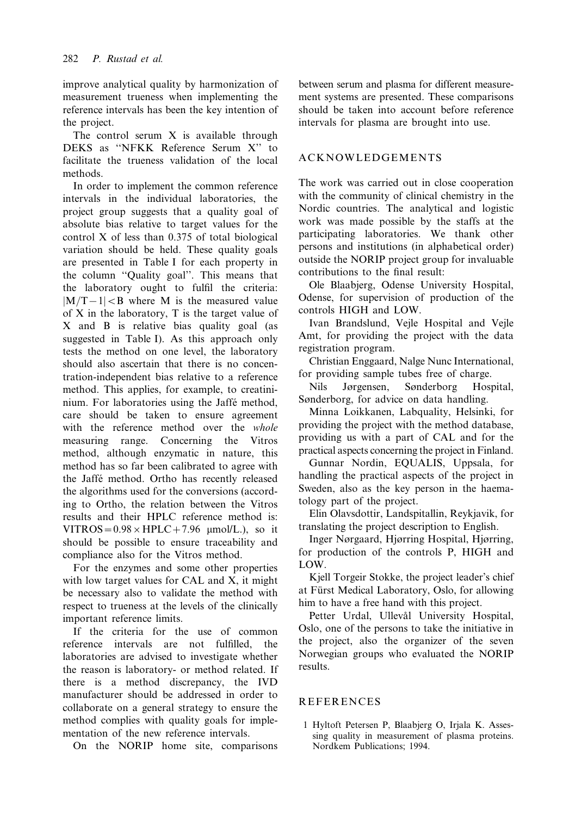improve analytical quality by harmonization of measurement trueness when implementing the reference intervals has been the key intention of the project.

The control serum  $X$  is available through DEKS as ''NFKK Reference Serum X'' to facilitate the trueness validation of the local methods.

In order to implement the common reference intervals in the individual laboratories, the project group suggests that a quality goal of absolute bias relative to target values for the control X of less than 0.375 of total biological variation should be held. These quality goals are presented in Table I for each property in the column ''Quality goal''. This means that the laboratory ought to fulfil the criteria:  $|M/T-1| < B$  where M is the measured value of X in the laboratory, T is the target value of X and B is relative bias quality goal (as suggested in Table I). As this approach only tests the method on one level, the laboratory should also ascertain that there is no concentration-independent bias relative to a reference method. This applies, for example, to creatininium. For laboratories using the Jaffe´ method, care should be taken to ensure agreement with the reference method over the whole measuring range. Concerning the Vitros method, although enzymatic in nature, this method has so far been calibrated to agree with the Jaffe´ method. Ortho has recently released the algorithms used for the conversions (according to Ortho, the relation between the Vitros results and their HPLC reference method is: VITROS =  $0.98 \times \text{HPLC} + 7.96 \mu \text{mol/L}$ .), so it should be possible to ensure traceability and compliance also for the Vitros method.

For the enzymes and some other properties with low target values for CAL and X, it might be necessary also to validate the method with respect to trueness at the levels of the clinically important reference limits.

If the criteria for the use of common reference intervals are not fulfilled, the laboratories are advised to investigate whether the reason is laboratory- or method related. If there is a method discrepancy, the IVD manufacturer should be addressed in order to collaborate on a general strategy to ensure the method complies with quality goals for implementation of the new reference intervals.

On the NORIP home site, comparisons

between serum and plasma for different measurement systems are presented. These comparisons should be taken into account before reference intervals for plasma are brought into use.

# ACKNOWLEDGEMENTS

The work was carried out in close cooperation with the community of clinical chemistry in the Nordic countries. The analytical and logistic work was made possible by the staffs at the participating laboratories. We thank other persons and institutions (in alphabetical order) outside the NORIP project group for invaluable contributions to the final result:

Ole Blaabjerg, Odense University Hospital, Odense, for supervision of production of the controls HIGH and LOW.

Ivan Brandslund, Vejle Hospital and Vejle Amt, for providing the project with the data registration program.

Christian Enggaard, Nalge Nunc International, for providing sample tubes free of charge.

Nils Jørgensen, Sønderborg Hospital, Sønderborg, for advice on data handling.

Minna Loikkanen, Labquality, Helsinki, for providing the project with the method database, providing us with a part of CAL and for the practical aspects concerning the project in Finland.

Gunnar Nordin, EQUALIS, Uppsala, for handling the practical aspects of the project in Sweden, also as the key person in the haematology part of the project.

Elin Olavsdottir, Landspitallin, Reykjavik, for translating the project description to English.

Inger Nørgaard, Hjørring Hospital, Hjørring, for production of the controls P, HIGH and LOW.

Kjell Torgeir Stokke, the project leader's chief at Fürst Medical Laboratory, Oslo, for allowing him to have a free hand with this project.

Petter Urdal, Ullevål University Hospital, Oslo, one of the persons to take the initiative in the project, also the organizer of the seven Norwegian groups who evaluated the NORIP results.

## **REFERENCES**

1 Hyltoft Petersen P, Blaabjerg O, Irjala K. Assessing quality in measurement of plasma proteins. Nordkem Publications; 1994.